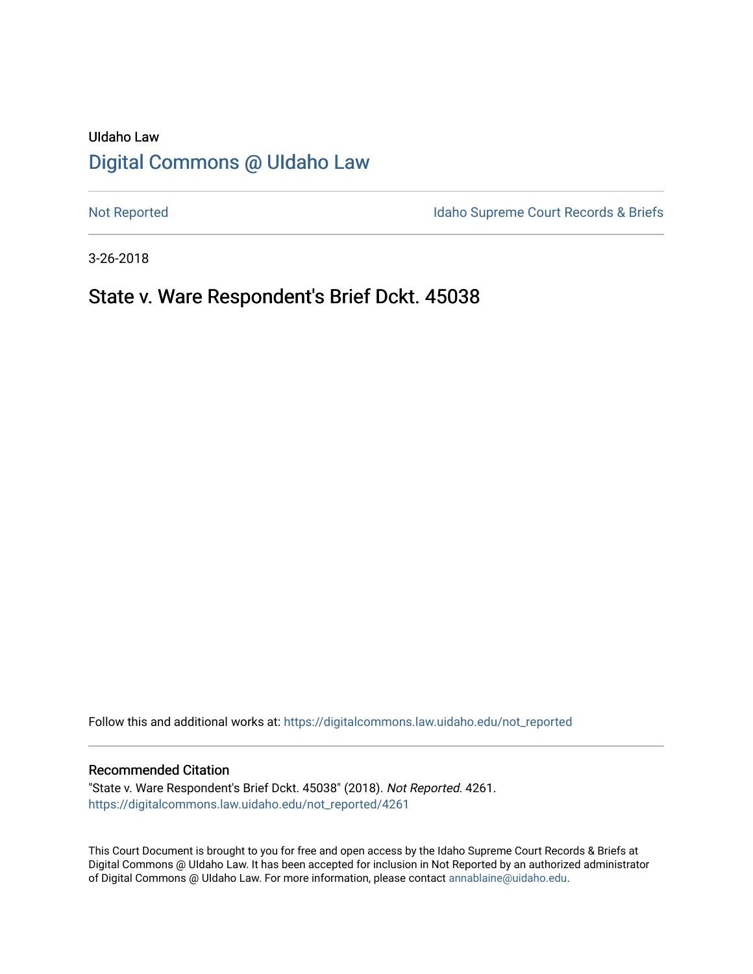# UIdaho Law [Digital Commons @ UIdaho Law](https://digitalcommons.law.uidaho.edu/)

[Not Reported](https://digitalcommons.law.uidaho.edu/not_reported) **Idaho Supreme Court Records & Briefs** 

3-26-2018

## State v. Ware Respondent's Brief Dckt. 45038

Follow this and additional works at: [https://digitalcommons.law.uidaho.edu/not\\_reported](https://digitalcommons.law.uidaho.edu/not_reported?utm_source=digitalcommons.law.uidaho.edu%2Fnot_reported%2F4261&utm_medium=PDF&utm_campaign=PDFCoverPages) 

#### Recommended Citation

"State v. Ware Respondent's Brief Dckt. 45038" (2018). Not Reported. 4261. [https://digitalcommons.law.uidaho.edu/not\\_reported/4261](https://digitalcommons.law.uidaho.edu/not_reported/4261?utm_source=digitalcommons.law.uidaho.edu%2Fnot_reported%2F4261&utm_medium=PDF&utm_campaign=PDFCoverPages)

This Court Document is brought to you for free and open access by the Idaho Supreme Court Records & Briefs at Digital Commons @ UIdaho Law. It has been accepted for inclusion in Not Reported by an authorized administrator of Digital Commons @ UIdaho Law. For more information, please contact [annablaine@uidaho.edu](mailto:annablaine@uidaho.edu).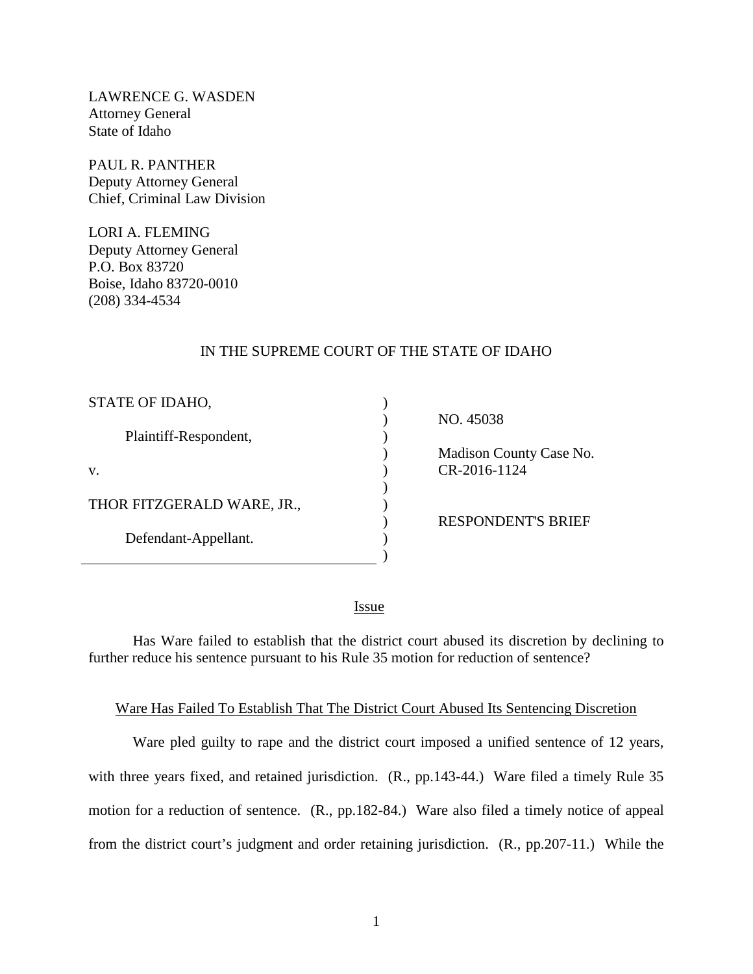LAWRENCE G. WASDEN Attorney General State of Idaho

PAUL R. PANTHER Deputy Attorney General Chief, Criminal Law Division

LORI A. FLEMING Deputy Attorney General P.O. Box 83720 Boise, Idaho 83720-0010 (208) 334-4534

#### IN THE SUPREME COURT OF THE STATE OF IDAHO

| STATE OF IDAHO,            |  |
|----------------------------|--|
| Plaintiff-Respondent,      |  |
| V.                         |  |
| THOR FITZGERALD WARE, JR., |  |
| Defendant-Appellant.       |  |

NO. 45038

 Madison County Case No. CR-2016-1124

RESPONDENT'S BRIEF

<u>Issue</u>

)

Has Ware failed to establish that the district court abused its discretion by declining to further reduce his sentence pursuant to his Rule 35 motion for reduction of sentence?

#### Ware Has Failed To Establish That The District Court Abused Its Sentencing Discretion

Ware pled guilty to rape and the district court imposed a unified sentence of 12 years, with three years fixed, and retained jurisdiction. (R., pp.143-44.) Ware filed a timely Rule 35 motion for a reduction of sentence. (R., pp.182-84.) Ware also filed a timely notice of appeal from the district court's judgment and order retaining jurisdiction. (R., pp.207-11.) While the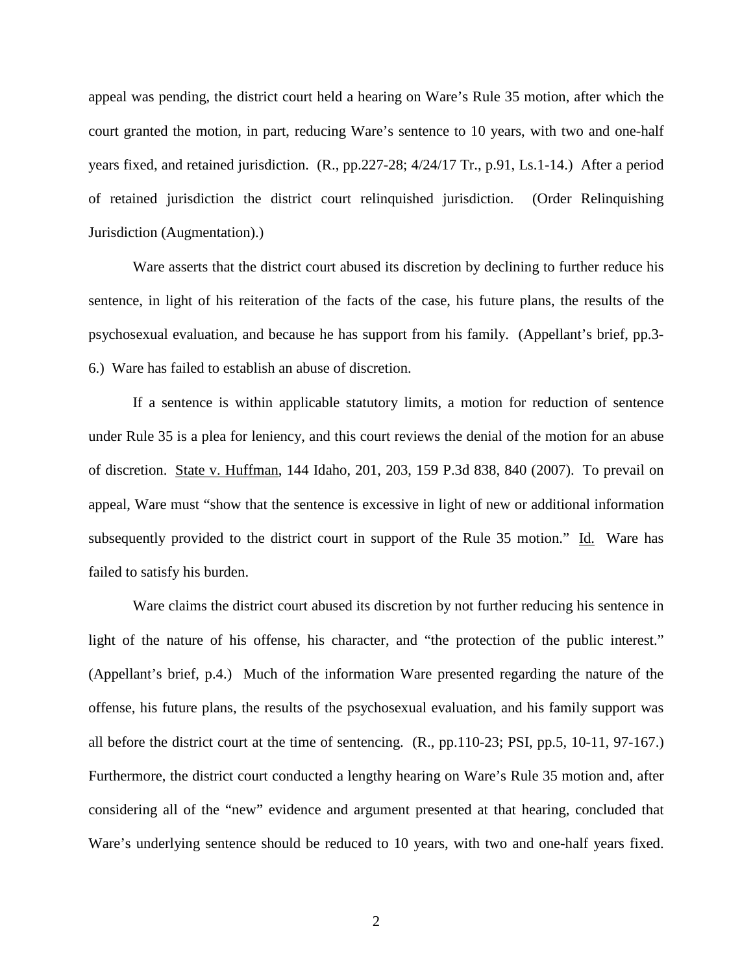appeal was pending, the district court held a hearing on Ware's Rule 35 motion, after which the court granted the motion, in part, reducing Ware's sentence to 10 years, with two and one-half years fixed, and retained jurisdiction. (R., pp.227-28; 4/24/17 Tr., p.91, Ls.1-14.) After a period of retained jurisdiction the district court relinquished jurisdiction. (Order Relinquishing Jurisdiction (Augmentation).)

Ware asserts that the district court abused its discretion by declining to further reduce his sentence, in light of his reiteration of the facts of the case, his future plans, the results of the psychosexual evaluation, and because he has support from his family. (Appellant's brief, pp.3- 6.) Ware has failed to establish an abuse of discretion.

If a sentence is within applicable statutory limits, a motion for reduction of sentence under Rule 35 is a plea for leniency, and this court reviews the denial of the motion for an abuse of discretion. State v. Huffman, 144 Idaho, 201, 203, 159 P.3d 838, 840 (2007). To prevail on appeal, Ware must "show that the sentence is excessive in light of new or additional information subsequently provided to the district court in support of the Rule 35 motion." Id. Ware has failed to satisfy his burden.

Ware claims the district court abused its discretion by not further reducing his sentence in light of the nature of his offense, his character, and "the protection of the public interest." (Appellant's brief, p.4.) Much of the information Ware presented regarding the nature of the offense, his future plans, the results of the psychosexual evaluation, and his family support was all before the district court at the time of sentencing. (R., pp.110-23; PSI, pp.5, 10-11, 97-167.) Furthermore, the district court conducted a lengthy hearing on Ware's Rule 35 motion and, after considering all of the "new" evidence and argument presented at that hearing, concluded that Ware's underlying sentence should be reduced to 10 years, with two and one-half years fixed.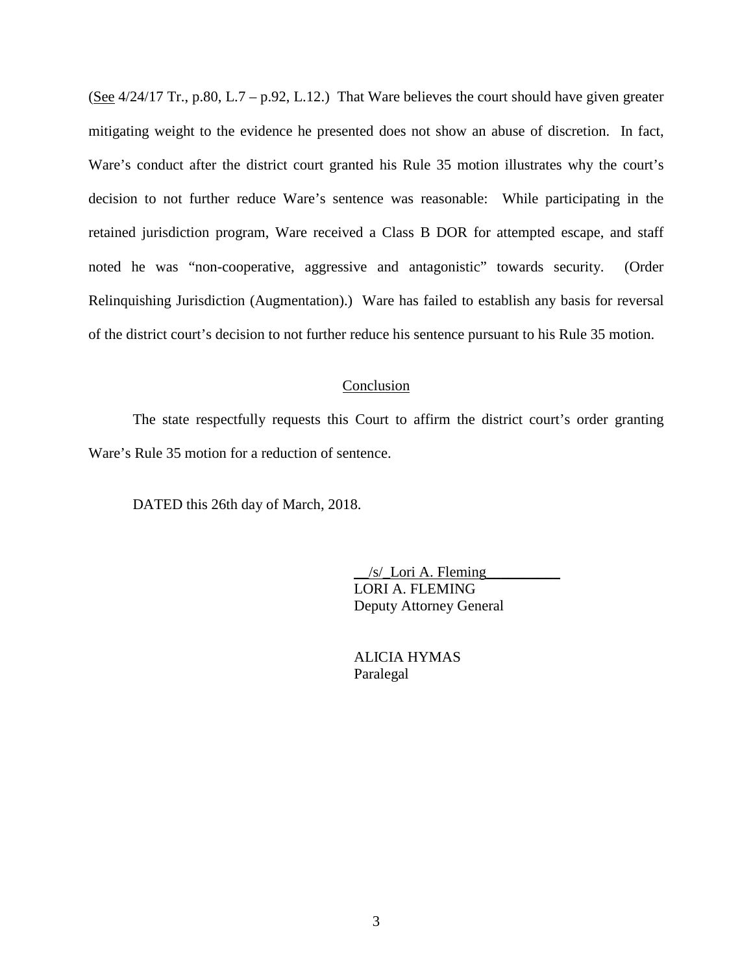(See  $4/24/17$  Tr., p.80, L.7 – p.92, L.12.) That Ware believes the court should have given greater mitigating weight to the evidence he presented does not show an abuse of discretion. In fact, Ware's conduct after the district court granted his Rule 35 motion illustrates why the court's decision to not further reduce Ware's sentence was reasonable: While participating in the retained jurisdiction program, Ware received a Class B DOR for attempted escape, and staff noted he was "non-cooperative, aggressive and antagonistic" towards security. (Order Relinquishing Jurisdiction (Augmentation).) Ware has failed to establish any basis for reversal of the district court's decision to not further reduce his sentence pursuant to his Rule 35 motion.

#### Conclusion

The state respectfully requests this Court to affirm the district court's order granting Ware's Rule 35 motion for a reduction of sentence.

DATED this 26th day of March, 2018.

 $/s$  Lori A. Fleming LORI A. FLEMING Deputy Attorney General

 ALICIA HYMAS Paralegal